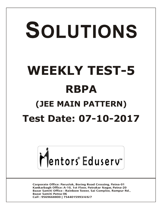# SOLUTIONS **WEEKLY TEST-5 RBPA (JEE MAIN PATTERN) Test Date: 07-10-2017**



**Corporate Office: Paruslok, Boring Road Crossing, Patna-01** Kankarbagh Office: A-10, 1st Floor, Patrakar Nagar, Patna-20 Bazar Samiti Office: Rainbow Tower, Sai Complex, Rampur Rd., **Bazar Samiti Patna-06** Call: 9569668800 | 7544015993/4/6/7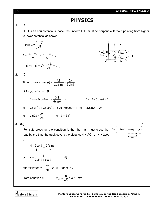x

 $v=0$ v=–1

# **PHYSICS**

## **1. (B)**

OEH is an equipotential surface, the uniform E.F. must be perpendicular to it pointing from higher to lower potential as shown.

Hence 
$$
E = \left(\frac{\hat{i}-\hat{j}}{\sqrt{2}}\right)
$$
  
\n $E = \frac{(v_E - v_B)}{EB} = \frac{0 - (-2)}{\sqrt{2}} = \sqrt{2}$   
\n $\therefore \vec{E} = E \cdot \vec{E} = \sqrt{2} \frac{(\hat{i}-\hat{j})}{\sqrt{2}} = \hat{i}-\hat{j}$   
\n(C)  
\nTime to cross river  $(t) = \frac{AB}{v_{\text{m}} \sin \theta} = \frac{0.4}{5 \sin \theta}$   
\n $BC = (v_{\text{m}} \cos \theta + v_r)t$   
\n $\Rightarrow 0.4 = (5 \cos \theta + 1) \times \frac{0.4}{5 \sin \theta} \Rightarrow 5 \sin \theta - 5 \cos \theta = 1$   
\n $\Rightarrow 25 \sin^2 \theta + 25 \cos^2 \theta - 50 \sin \theta \cos \theta = 1 \Rightarrow 25 \sin 2\theta = 24$   
\n $\Rightarrow \sin 2\theta = \frac{24}{25} \Rightarrow \theta = 53^\circ$ 

### **3. (C)**

**2. (C)**

 For safe crossing, the condition is that the man must cross the road by the time the truck covers the distance 4 + *AC* or 4 + 2cot



$$
\boldsymbol{\theta}
$$

$$
\therefore \quad \frac{4 + 2 \cot \theta}{8} = \frac{2/\sin \theta}{v}
$$
  
or 
$$
v = \frac{8}{2 \sin \theta + \cos \theta} \qquad ...(i)
$$
  
For minimum  $v$ , 
$$
\frac{dv}{d\theta} = 0 \implies \tan \theta = 2
$$
  
From equation (i), 
$$
v_{min} = \frac{8}{\sqrt{5}} = 3.57 \text{ m/s}
$$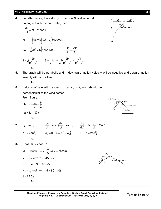**WT-5 (Main) RBPA\_07.10.2017 [ 3 ] 4.** Let after time *t*, the velocity of particle *B* is directed at an angle  $\theta$  with the horizontal, then  $\frac{ds}{dt}$  = bt – at cos dt  $-\frac{dS}{dt}$  = bt – at cos  $\theta$  $\Rightarrow$ 0 t t  $\begin{array}{c} -\int\limits_{0}^{1}ds = b\int\limits_{0}^{1}tdt - a\int\limits_{0}^{1}t\cos\theta dt \end{array}$ and t<br>أط \_ 2 0  $\frac{1}{6}$ at<sup>2</sup> = b tcos  $\theta$  dt  $\frac{1}{2}$ at<sup>2</sup> = b<sup>t</sup> t cos  $\theta$  dt :  $I = \frac{bt^2}{2} - \frac{a^2t^2}{2b}$ 2 2b  $=\frac{54}{2}-1$  $t = \sqrt{\frac{2bl}{b^2 - \alpha^2}}$  $b^2 - a^2$  $=$  $\overline{\phantom{0}}$ ,  $a_2 = 1$  2bl  $b^2$  $S = \frac{1}{2}bt^2 = \frac{1}{2}b\frac{2bl}{b^2-2^2} = \frac{b^2l}{b^2-2^2}$  $2^{2}$   $2^{2}$   $b^{2}$   $-a^{2}$   $b^{2}$   $-a^{2}$  $=\frac{1}{2}bt^2=\frac{1}{2}b\frac{2bt}{a^2-3}=\frac{1}{2}$  $-a^2$   $b^2$  - a **(A) 5.** The graph will be parabolic and in downward motion velocity will be negative and upward motion velocity will be positive **(A) 6.** Velocity of rain with respect to car  $\vec{\mathsf{v}}_{\text{RC}} = \vec{\mathsf{v}}_{\text{R}} - \vec{\mathsf{v}}_{\text{C}}$  $\rightarrow$   $\rightarrow$   $\rightarrow$ should be perpendicular to the wind screen. From figure, *A a l B*

From figure,  
\n
$$
\tan \alpha = \frac{v_r}{v_c} = \frac{6}{2}
$$
  
\n $\alpha = \tan^{-1}(3)$   
\n $\therefore$  (B)  
\n7.  $y = ax^2$ ,  $\frac{dy}{dt} = a(2x)\frac{dx}{dt} = 2acx$ ,  $\frac{d^2y}{dt^2} = 2ac\frac{dx}{dt} = 2ac^2$   
\n $a_y = 2ac^2$ ,  $a_x = 0$ ,  $\vec{a} = a_x\hat{i} + a_y\hat{j}$   $\therefore$   $\vec{a} = 2ac^2\hat{j}$   
\n $\therefore$  (B)  
\n8.  $ucos 53^\circ = v \cos 37^\circ$   
\n $\Rightarrow 100 \times \frac{3}{5} = v \times \frac{4}{5} \Rightarrow v = 75 \text{ m/s}$   
\n $v_y = -v \sin 37^\circ = -45 \text{ m/s}$   
\n $v_y = u_y + gt \Rightarrow -45 = 80 - 10t$   
\n $t = 12.5s$   
\n $\therefore$  (B)

Mentors Eduserv<sup>®</sup>

 $\theta$ 

*vB*

 $\frac{\Theta}{\epsilon}$   $v_A$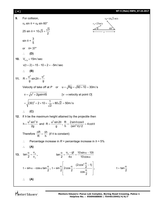

Mentors<sup>e</sup> Eduserv<sup>®</sup>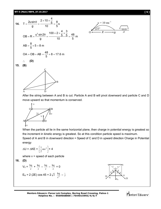14. T = 
$$
\frac{2u\sin\theta}{g}
$$
 =  $\frac{2 \times 10 \times \frac{4}{5}}{10}$  =  $\frac{8}{5}$ s  
\nOB = R =  $\frac{u^2 \sin 2\theta}{g}$  =  $\frac{100 \times 2 \times \frac{4}{5} \times \frac{3}{5}}{10}$  =  $\frac{48}{5}$ m  
\nAB =  $\frac{8}{5} \times 5$  = 8 m  
\nOA = OB + AB =  $\frac{48}{5}$  + 8 = 17.6 m  
\n∴ **(D)**



**15. (B)**



After the string between A and B is cut. Particle A and B will pivot downward and particle C and D move upward so that momentum is conserved.



When the particle all lie in the same horizontal plane, then charge in potential energy is greatest so the increment in kinetic energy is greatest. So at this condition particle speed is maximum. Speed of A and B in downward direction = Speed of C and D in upward direction Charge in Potential energy

$$
\Delta U = \Delta KE = \left[\frac{1}{2}mv^2\right] \times 4
$$

where  $v =$  speed of each particle

$$
16. (D)
$$

$$
V_0 = \frac{kq}{r} + \frac{kq}{r} - \frac{kq}{r} - \frac{kq}{r} = 0
$$
  
E<sub>R</sub> = 2 (2E) cos 45 = 2 $\sqrt{2}$   $\frac{kq}{r^2} - \hat{j}$ 



**Mentors Eduserv: Parus Lok Complex, Boring Road Crossing, Patna-1 Helpline No. : 9569668800 | 7544015993/4/6/7**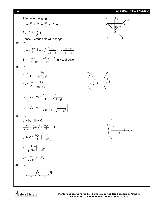## **[ 6 ] WT-5 (Main) RBPA\_07.10.2017**

After interchanging

$$
V_0 = \frac{kq}{r} + \frac{kq}{r} - \frac{kq}{r} - \frac{kq}{r} = 0
$$
  

$$
E_R = 2\sqrt{2} \frac{kq}{r^2} \hat{j}
$$

Hence Electric field will change.

$$
17. (D)
$$

$$
E_x = -\frac{\delta V}{\delta x} \hat{i} = -\frac{\delta}{\delta x} \left(\frac{20}{x^2 - 4}\right) \hat{i} = \frac{20 \times 2x}{(x^2 - 4)^2} \hat{i}
$$
  

$$
E_x = \frac{40x}{(x^2 - 4)^2} \hat{i} = \frac{40 \times 4}{144} = \frac{10}{9} \text{ in } + \text{x direction.}
$$

$$
18. (B)
$$

$$
V_A = \frac{kq}{R} - \frac{kq}{\sqrt{R^2 + d^2}}
$$
  
\n
$$
V_B = \frac{-kq}{R} + \frac{kq}{\sqrt{R^2 + d^2}}
$$
  
\n
$$
V_A - V_B = \frac{2kq}{R} - \frac{2kq}{\sqrt{R^2 + d^2}}
$$
  
\n
$$
V_A - V_B = \frac{q}{2\pi\epsilon_0} \left[ \frac{1}{R} - \frac{1}{\sqrt{R^2 + d^2}} \right]
$$









$$
U_i + K_i = U_f + K_f
$$
\n
$$
\frac{kQq}{\sqrt{2}R} + \frac{1}{2}mv^2 = \frac{kQq}{R} + O
$$
\n
$$
\frac{1}{2}mv^2 = \frac{kQq}{R} \left(1 - \frac{1}{\sqrt{2}}\right)
$$
\n
$$
v = \sqrt{\frac{2kQq}{mR} \left(1 - \frac{1}{\sqrt{2}}\right)}
$$
\n
$$
v = \sqrt{\frac{kQq}{mR} (2 - \sqrt{2})}
$$
\n20. (D)

$$
\sum_{i=1}^{n} a_i
$$

$$
\overbrace{r}^{q} \overbrace{r}^{q} \overbrace{r}^{q}
$$

Mentors Eduserv

**Mentors Eduserv: Parus Lok Complex, Boring Road Crossing, Patna-1 Helpline No. : 9569668800 | 7544015993/4/6/7**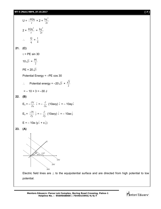$$
U = \frac{-kQq}{r} \times 2 + \frac{kq^2}{2r}
$$
  
\n
$$
2 \times \frac{kQq^2}{r} = \frac{kq^2}{2r}
$$
  
\n
$$
\therefore \frac{Q}{q} = \frac{1}{4}
$$
  
\n21. (C)  
\n
$$
\tau = PE \sin 30
$$
  
\n
$$
10\sqrt{3} = \frac{PE}{2}
$$
  
\n
$$
PE = 20\sqrt{3}
$$
  
\nPotential Energy = -PE cos 30  
\n
$$
\therefore \text{ Potential energy} = -20\sqrt{3} \times \frac{\sqrt{3}}{2}
$$
  
\n= -10 × 3 = -30 J  
\n22. (B)  
\n
$$
E_x = -\frac{\partial V}{\partial x} \hat{i} = -\frac{\partial}{\partial x} (10axy) \hat{i} = -10ay\hat{i}
$$
  
\n
$$
E_y = \frac{-\partial V}{\partial y} \hat{j} = -\frac{\partial}{\partial y} (10axy) \hat{i} = -10ax\hat{j}
$$
  
\n23. (A)  
\n13. (A)  
\n
$$
\therefore \frac{e}{\sqrt{39}} = \frac{1339}{499} = \frac{1339}{499} = \frac{1}{399} = \frac{1}{399} = \frac{1}{399} = \frac{1}{399} = \frac{1}{399} = \frac{1}{399} = \frac{1}{399} = \frac{1}{399} = \frac{1}{399} = \frac{1}{399} = \frac{1}{399} = \frac{1}{399} = \frac{1}{399} = \frac{1}{399} = \frac{1}{399} = \frac{1}{399} = \frac{1}{399} = \frac{1}{399} = \frac{1}{399} = \frac{1}{399} = \frac{1}{399} = \frac{1}{399} = \frac{1}{399} = \frac{1}{399} = \frac{1}{399} = \frac{1}{399} = \frac{1}{399} = \frac{1}{399} = \frac{1}{399} = \frac{1}{399} = \frac{1}{399} = \frac{1}{399} = \frac{1}{399} = \frac{
$$

Electric field lines are  $\perp$  to the equipotential surface and are directed from high potential to low potential.

Mentors Eduserv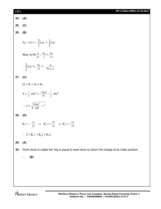| [8] |                                                                                  | WT-5 (Main) RBPA_07.10.2017 |
|-----|----------------------------------------------------------------------------------|-----------------------------|
|     | 24. (A)                                                                          |                             |
|     | 25. (C)                                                                          |                             |
|     | 26. (B)                                                                          |                             |
|     | $V_B - V_A = -\int_A^B \vec{E} \cdot d\vec{r} = \int_B^A \vec{E} \cdot d\vec{r}$ |                             |

Now 
$$
V_B = K \frac{q}{2a} - \frac{kq}{a} = -\frac{kq}{2a}
$$
  

$$
\therefore \int_{B}^{A} \vec{E} \cdot d\vec{r} = -\frac{kq}{2a} = -\frac{q}{8\pi \epsilon_0 a}
$$

kq

1

R

# **27. (C)**

**24. (A)**

**25. (C)**

**26. (B)**

$$
U_i + K_i = U_f + K_f
$$
  
0 +  $\frac{1}{2}$  mv<sup>2</sup> =  $\frac{-k8q^2}{R} + \frac{1}{2}$  mv<sup>2</sup>

$$
\therefore \mathbf{v'} = \sqrt{\frac{16\text{kg}^2}{\text{mR}} + \mathbf{v}^2}
$$

# **28. (D)**

$$
E_x = -\frac{\partial V}{\partial x} \implies E_y = -\frac{\partial V}{\partial y} \implies E_z = -\frac{\partial V}{\partial z}
$$
  
 
$$
\therefore \vec{E} = E_x \hat{i} + E_y \hat{j} + E_z \hat{k}
$$

# **29. (A)**

**30.** Work done to rotate the ring is equal to work done to return the charge at its initial position.

# **(B)**

Mentors<sup>e</sup> Eduserv<sup>-</sup>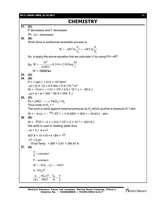#### **WT-5 (MAIN) RBPA\_07.10.2017** [ **9** ] **CHEMISTRY 31. (D)** P decreases and T decreases So,  $\Delta U =$  decreases **32. (B)** Work done in isothermal reversible process is 2 1 1 2 P  $nRT \ln \frac{P}{P}$ V  $W = -nRT \ln \frac{V_2}{V} = -$ So, to apply the above equation first we calculate 'n' by using PV= nRT So,  $W = -\frac{3.314 \times 2.303 \log 7}{0.0821} \times 8.314 \times 2.303 \log 7$  $8.314 \times 2.303 \log \frac{10}{1}$ 0.0821  $W = -\frac{10^4}{8.883}$  $=-\frac{18}{0.0021} \times 8.314 \times$ W = **–2332 kJ 33. (D) 34. (B)**  $P = 1$  atm = 1.013  $\times$  10<sup>5</sup> N/m<sup>2</sup>  $\Delta V = (2.5 - 2) = 0.5$  litre = 0.5  $\times 10^{-3}$  m<sup>3</sup>  $W = -P\Delta V = -1.01 \times 10^5 \times 0.5 \times 10^{-3} \text{ J} = -50.5 \text{ J}$  $\triangle$ U = q + w = 300 – 50.5 = 249. 5 J **35. (D)** Fe + 2HCl  $\longrightarrow$  FeCl $_2$  + H $_2$ Thus mole of  $H_2$  = 1 The work is done against external pressure by  $\mathsf{H}_2$  which pushes a pressure of 1 atm  $W = - P\Delta V = - \frac{\Delta n_g}{P} RT = -1 \times 0.0821 \times 300 = -24.63 L - atm$ **36. (B)**  $W = -P\Delta V = -3 \times 1.013 \times 10^5 \times 2 \times 10^{-3} = -607.8$  J this work is used in heating water thus  $-W = q = m s \Delta T$ 607.8 = 10 ×18 × 4.184 ×  $\Delta T$  $\Delta T = 0.81$  $\therefore$  Final Temp. = 290 + 0.81 = 290.81 K **37. (A)**  $\frac{V}{T}$  = constant  $P = constant$  $W = -P(V_f - V_i) = -nR\Delta T$  $q = nC_P\Delta T$  $q = nC_P\Delta T = C_P = 5$ |w| nR∆T R 2  $=\frac{nC_{P}\Delta T}{nR\Delta T}=\frac{C_{P}}{R}=\frac{1}{2}$

Mentors<sup>®</sup> Eduserv<sup>®</sup>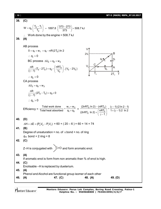| [10] | WT-5 (MAIN) RBPA_07.10.2017                                                                                                                                                                                                                        |  |  |
|------|----------------------------------------------------------------------------------------------------------------------------------------------------------------------------------------------------------------------------------------------------|--|--|
| 38.  | (C)                                                                                                                                                                                                                                                |  |  |
|      | $W = q_2 \left( \frac{T_2 - T_1}{T_2} \right) = 1897.8 \left( \frac{373 - 273}{373} \right) = 508.7 \text{ kJ}$                                                                                                                                    |  |  |
|      | $\therefore$ Work done by the engine = 508.7 kJ                                                                                                                                                                                                    |  |  |
| 39.  | (A)                                                                                                                                                                                                                                                |  |  |
|      | AB process                                                                                                                                                                                                                                         |  |  |
|      | $0 = q_1 + w_1 = q_1 - nR(2T_0) \ln 2$                                                                                                                                                                                                             |  |  |
|      | $2V_0$<br>$\therefore$ q <sub>1</sub> > 0                                                                                                                                                                                                          |  |  |
|      | $q_1$<br>BC process $\Delta U_2 = q_2 + w_2$                                                                                                                                                                                                       |  |  |
|      | $\frac{nR}{(\gamma-1)}$ $(T_0 - 2T_0) = q_2 - \left(\frac{nRT_0}{V_0}\right)$ . $(V_0 - 2V_0)$                                                                                                                                                     |  |  |
|      | $\therefore$ q <sub>2</sub> < 0                                                                                                                                                                                                                    |  |  |
|      | CA process                                                                                                                                                                                                                                         |  |  |
|      | $\Delta U_3 = q_3 + w_3$                                                                                                                                                                                                                           |  |  |
|      | $\frac{nR}{(n-1)}(2T_0 - T_0) = q_3 + 0$                                                                                                                                                                                                           |  |  |
|      | $\therefore$ q <sub>3</sub> > 0                                                                                                                                                                                                                    |  |  |
|      | Efficiency = $\frac{\text{Total work done}}{\text{Total heat absorbed}} = \frac{w_1 + w_2}{q_1 + q_3} = \frac{(2nRT_0 \ln 2) - (nRT_0)}{(2nRT_0 \ln 2) + (\frac{nRT_0}{\gamma - 1})} = \frac{(\gamma - 1)(2 \ln 2 - 1)}{1 + (\gamma - 1) 2 \ln 2}$ |  |  |
| 40.  | (D)                                                                                                                                                                                                                                                |  |  |
|      | $\Delta H = \Delta E + (P_2 V_2 - P_1 V_1) = 60 + (20 - 6) = 60 + 14 = 74$                                                                                                                                                                         |  |  |
| 41.  | (B)                                                                                                                                                                                                                                                |  |  |
|      | Degree of unsaturation = no. of $\pi$ bond + no. of ring<br>$6\pi$ bond + 2 ring = 8                                                                                                                                                               |  |  |
| 42.  | (C)                                                                                                                                                                                                                                                |  |  |
|      |                                                                                                                                                                                                                                                    |  |  |
|      | $Z-H$ is conjugated with $C=O$ and form aromatic enol.                                                                                                                                                                                             |  |  |
| 43.  | (A)                                                                                                                                                                                                                                                |  |  |
|      | If aromatic enol is form from non aromatic than % of enol is high.                                                                                                                                                                                 |  |  |
| 44.  | (C)<br>Enolisable -H is replaced by dueterium.                                                                                                                                                                                                     |  |  |
| 45.  | (A)                                                                                                                                                                                                                                                |  |  |
| 46.  | Phenol and Alcohol are functional group isomer of each other<br>(A)<br>47. (C)<br>48. (A)<br>49. (D)                                                                                                                                               |  |  |

Mentors<sup>®</sup> Eduserv<sup>-</sup>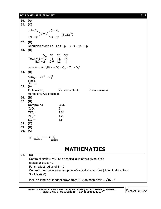#### **WT-5 (MAIN) RBPA\_07.10.2017** [ **11** ]

**50. (A) 51. (C)** :  $N \equiv C$ :  $N \equiv C$  $C = C$  $C \equiv N$ :  $C \equiv N$ :  $\langle$ Sp,Sp $^2$ **52. (B)** Repulsion order:  $l.p - l.p > l.p - B.P > B.p - B.p$ **53. (B)**  $O_2$ ,  $O_2^+$ ,  $O_2^-$ ,  $O_2^{-2}$ Total V.E = 12, 11, 13, 14  $B.O = 2, 2.5 1.5, 1$  $^{+}$   $\cap^{-}$   $\cap^{-2}$  $=$  $=$ so bond strength =  $= O_2^+ > O_2 > O_2^- > O_2^{-2}$ **54. (B)**  $CaC_2 \rightarrow Ca^{+2} + C_2^{-2}$ Ç≡Ç 2 $\pi$ , 1 $\sigma$ **55. (A)** X - trivalent ;  $Y$  - pentavalent ;  $Z$  - monovalent Hence only A is possible. **56. (B) 57. (D) Compound B.O.**  $XeO<sub>3</sub>$ 2  $CIO<sub>3</sub>$ – 1.67  $PO<sub>4</sub><sup>3-</sup>$ 3– 1.25  $SO<sub>4</sub><sup>2</sup>$  $1.5$ **58. (C) 59. (B) 60. (A)**  $I_2 + \underset{\text{(Solution)}}{\overline{\phantom{I}}} I^- \longrightarrow \underset{\text{(Linear)}}{\overline{\phantom{I}}}$ **MATHEMATICS 61. (A)** Centre of circle  $S = 0$  lies on radical axis of two given circle radical axis is  $x = 0$ For smallest radius of  $S = 0$ Centre should be intersection point of radical axis and line joining their centres So, it is (0, 0).

radius = length of tangent drawn from (0, 0) to each circle  $=$   $\sqrt{16}$  = 4

**Mentors Eduserv: Parus Lok Complex, Boring Road Crossing, Patna-1 Helpline No. : 9569668800 | 7544015993/4/6/7**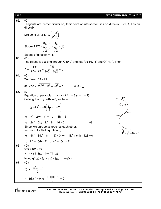**62. (C)** Tangents are perpendicular so, their point of intersection lies on directrix P (1, 1) lies on directrix Mid point of AB is  $Q\left(\frac{7}{2}, \frac{3}{2}\right)$  $\left(\frac{7}{2},\frac{3}{2}\right)$ Slope of  $\frac{3}{2}$ -1 1  $PQ = \frac{2}{7} = \frac{2}{5} = \frac{1}{7} = \frac{1}{7}$  $\frac{7}{2}$  - 1  $\frac{5}{2}$  - 1  $\frac{5}{2}$  $\overline{\phantom{a}}$  $=\frac{72}{77} = \frac{72}{57} =$ -Slopes of directrix  $= -5$ **63. (D)** The ellipse is passing through O  $(0,0)$  and has foci  $P(3,3)$  and  $Q(-4,4)$ . Then,  $e = \frac{PQ}{2R \cdot 2R} = \frac{\sqrt{50}}{2 \sqrt{5} + \sqrt{5}} = \frac{5}{7}$  $OP + OQ = 3\sqrt{2} + 4\sqrt{2} = 7$  $=\frac{1}{2\sqrt{2}} = \frac{\sqrt{22}}{2\sqrt{2}} = \frac{1}{2}$  $+$  OQ 3 $\sqrt{2}$  + **64. (C)** We have PQ = BP or , 2ae =  $\sqrt{a^2 e^2 + b^2} = \sqrt{a^2} = a$   $\Rightarrow e = \frac{1}{2}$ 2  $\Rightarrow$  e = -**65. (D)** Equation of parabola  $P'$  is  $(y - k)^2 = -8(x - h - 2)$ Solving it with  $y^2 - 8x = 0$ , we have  $(y-k)^2 = -8\left(\frac{y^2}{2}-h-2\right)$ 8  $(y^2$ ,  $(z)$  $-k)^{2} = -8\left[\frac{J}{2}-h-2\right]$  $\begin{pmatrix} 0 & \cdots \end{pmatrix}$  $\implies$   $v^2 - 2kv + k^2 = -v^2 + 8h + 16$  $P = v^2 - 8x = 0$ s(h, k) P'  $\Rightarrow 2y^2 - 2ky + k^2 - 8h - 16 = 0$  ...(i) Since two parabolas touches each other, we have  $D = 0$  of equation (i)  $\Rightarrow$  4k<sup>2</sup> - 8(k<sup>2</sup> - 8h - 16) = 0  $\Rightarrow$  -4k<sup>2</sup> + 64h + 128 = 0  $\implies$  k<sup>2</sup> = 16(h + 2)  $\implies$  y<sup>2</sup> = 16(x + 2) **66. (D)**  $f(x) = f(2 - x)$  $x \to x + 1$ ; f(x + 1) = f(1 - x) Now,  $g(-x) = f(-x + 1) = f(x + 1) = g(x)$ **67. (C)**  $f(\alpha) = \frac{\alpha(\alpha-1)}{2}$ 2  $\alpha$ ) =  $\frac{\alpha(\alpha-1)}{2}$  $\therefore f(|x|) = 0 \Rightarrow \frac{|x|(|x|-1)}{2} = 0$ 2  $=0 \Rightarrow \frac{|x| (|x|-1)}{2}=0$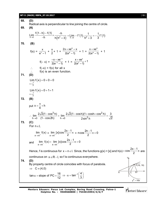#### **WT-5 (MAIN) RBPA\_07.10.2017** [ **13** ]

**68. (D)** Radical axis is perpendicular to line joining the centre of circle. **69. (A)**  $(1 - h) - f(1)$  $h \rightarrow 0$  -h  $h(h^2 + 3)$ Lim  $\frac{f(1-h)-f(1)}{h} \times \frac{-h}{h}$  $\rightarrow$ <sup>0</sup> -h h  $(h^2 + 3)$  $\frac{-h)-f(1)}{h} \times \frac{-f(1)}{h}$  $\frac{n-1}{n-1} \times \frac{-h}{n(n^2+3)} = \lim_{h \to 0} -f'(1) \cdot \frac{1}{n^2+3} = -\frac{1}{3}f'(1)$  $\rightarrow$ <sup>0</sup>  $\rightarrow$   $h^2 + 3$  3 = Lim - f'(1).  $\frac{1}{2}$  = - $^{+}$ **70. (B)**  $f(x) = \frac{x}{e^x - 1} + \frac{x}{2}$  $\frac{1}{2}$  + 1 =  $+xe^{x}$ x  $2x + xe^x - x$  $\frac{1}{2(e^{x}-1)}$  + 1 =  $+xe^{x}$ x  $x + xe$  $\frac{1}{2(e^{x}-1)}$  + 1  $f(- x) =$ – x –x –x – xe  $\frac{1}{2(e^{-x}-1)}$  + 1 =  $\frac{+xe^x}{x}$ + x  $\frac{x + xe^{x}}{x^2 + 1}$ 2( $e^{x} - 1$ )  $f(-x) = f(x)$  for all x f(x) is an even function. **71. (D)** Lim f(x)<br> $x \rightarrow \frac{1}{2}^{+}$ 2 Lim  $f(x) = 0 + 0 = 0$  $\rightarrow$  $= 0 + 0 = 0$ Lim  $f(x)$ <br> $x \rightarrow \frac{1}{2}$ Lim  $f(x) = 0 + 1 = 1$  $\rightarrow$  $= 0 + 1 = 1$ **72. (B)** put  $x = \frac{\pi}{4} + h$  $=\frac{\pi}{4}+1$  $3h$  2.  $\sqrt{2}(1-\cos h)(1+\cosh \cos^2 h)$  $h \rightarrow 0$  (1 – cos 2h)  $h \rightarrow 0$  2 sin<sup>2</sup>  $\lim \frac{2\sqrt{2}(1-\cos^3 h)}{2} = \lim \frac{2\sqrt{2}(1-\cosh)(1+\cosh+\cos^2 h)}{2} = \frac{3}{\sqrt{2}}$  $\rightarrow$ 0 (1–cos2h) h $\rightarrow$ 0 2sin<sup>2</sup>h  $\sqrt{2}$ ∴ lim  $\frac{2\sqrt{2}(1-\cos^3 h)}{h} = \lim_{h \to 0} \frac{2\sqrt{2}(1-\cosh)(1+\cosh \frac{\pi}{2})}{2} =$  $\overline{a}$ **73. (C)** For  $n \in I$ , x→nī lim f(x)  $\lim_{x \to 0^+} f(x) = \lim_{x \to 0^-}$ lim [x]cos $\frac{2x-1}{2}$  $\rightarrow$ n<sup>+</sup> 2  $\frac{-1}{2}\pi = n\cos\frac{2n-1}{2}\pi = 0$ 2  $\frac{-1}{\sqrt{2}}\pi = 0$ and  $x \rightarrow n^ x \rightarrow n^$ lim  $f(x) = \lim_{x \to 0} [x] \cos \frac{2x-1}{2} \pi = 0$  $\rightarrow$ n<sup>-</sup>  $x \rightarrow$ n<sup>-</sup> 2 =  $\lim$  [x]cos  $\frac{2x-1}{2}\pi = 0$ Hence, f is continuous for  $x = n \in I$ . Since, the functions  $g(x) = [x]$  and h(x)  $\cos \frac{2x-1}{2}$ 2  $=\cos\frac{2x-1}{2}\pi$  are continuous on  $x \in R - I$ , so f is continuous everywhere. **74. (D)** By property centre of circle coincides with focus of parabola. Y  $P(16, 16)$ C  $y^2 = 16x$ A B  $\implies$   $C \equiv (4,0)$ tan $\alpha$  = slope of PC =  $\frac{16}{16}$ 12  $\alpha$  = slope of PC =  $\frac{16}{10}$   $\Rightarrow$   $\alpha$  = tan<sup>-1</sup>  $\left(\frac{4}{2}\right)$  $\Rightarrow \alpha = \tan^{-1}\left(\frac{4}{3}\right)$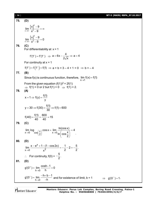#### [ **14** ] **WT-5 (MAIN) RBPA\_07.10.2017**

**75. (D)**  $\left[x\right]^2$  $x \rightarrow 3$   $x^2$  $x \mid -9$  $\lim_{x\to 3^-} \frac{1-1}{x^2-9}$  $\overline{\phantom{a}}$  $=\infty$  $\overline{a}$  $\left[x\right]^2$  $x \rightarrow 3^+$   $x^2$  $x \upharpoonright -9$  $\lim_{2} \frac{\sqrt{1-1}}{2} = 0$  $\rightarrow$ 3+  $x^2$  - 9 - $=$  $\overline{\phantom{a}}$ **76. (C)** For differentiability at  $x = 1$  $f'(1^+) = f'(1^-) \implies a = 6x - \frac{4}{6\sqrt{2}} \implies a = 4$ 2√x  $=6x-\frac{1}{x} \Rightarrow a=4$ For continuity at  $x = 1$  $f(1^+) = f(1^-) = f(1) \implies a + b = 3 - 4 + 1 = 0 \implies b = -4$ **77. (B)** Since f(x) is continuous function, therefore,  $\lim_{x\to 1}$  $\lim f(x) = f(1)$  $\rightarrow$  $=$ From the given equation  $(f(1))^2 = 2f(1)$  $\Rightarrow$  f(1) = 0 or 2 but f(1) > 0  $\Rightarrow$  f(1) = 2. **78. (A)**  $x = 1 \Rightarrow f(y) = \frac{f(1)}{1}$ y  $=1 \Rightarrow f(y) =$  $f(30) = \frac{f(1)}{20} \Rightarrow f(1) = 600$ 30  $=30 \Rightarrow f(30) = \frac{117}{22} \Rightarrow f(1) = 6$  $f(40) = \frac{f(1)}{10} = \frac{600}{10} = 15$ 40 40  $=\frac{114}{10}=\frac{000}{10}=1$ **79. (C)**  $x\rightarrow 0$   $\cos\left(\frac{x}{2}\right)$   $\cos x - \sin t$  $\lim \log \sqrt{x} \cos x = \lim \frac{\ln(\cos x)}{\sqrt{x}} = 4$  $\ln \left( \cos \frac{x}{2} \right)$  $\lim_{x\to 0} \log \left(\frac{x}{2}\right) \cos x = \lim_{x\to 0} \frac{\ln(\cos x)}{\ln(\cos \frac{x}{2})} = 4$ . **80. (D)** x  $x \rightarrow 0$   $x^2$  $\lim \frac{x - e^{x} + 1 - (1 - \cos 2x)}{2} = -\frac{1}{2} - 2 = -\frac{5}{2}.$  $\rightarrow$  0  $\chi^2$  2 2  $\frac{-e^{x}+1-(1-\cos 2x)}{2}=-\frac{1}{2}-2=-\frac{8}{2}$  $\therefore$  For continuity,  $f(0) =$ 5  $-\frac{8}{2}$ . **81. (D)** h $\rightarrow$ 0  $g'(0^+) = \lim \frac{\cosh 1}{\cosh 1} = 0$ h  $^{+}$  $\rightarrow$  $f(0^+) = \lim \frac{\cosh 1}{1} = 0$ h $\rightarrow$ 0  $g'(0^-) = \lim \frac{-h + b - 1}{h}$ h - $\rightarrow$  $f(0^-) = \lim \frac{-h + b - 1}{h}$  $\frac{a}{-h}$  and for existence of limit, b = 1  $\Rightarrow$  g'(0<sup>-</sup>)=1.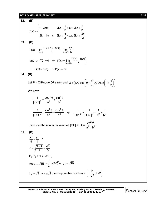#### **WT-5 (MAIN) RBPA\_07.10.2017** [ **15** ]

**82. (B)**  $x - 2k\pi$ ;  $2k\pi - \frac{\pi}{2} \le x \le 2k$  $f(x) = \begin{cases} 2 & 2 \end{cases}$  $(2k + 1)\pi - x$ ;  $2k\pi + \frac{\pi}{6} < x \leq 2k\pi + \frac{3}{6}$ 2 2  $\begin{cases} x - 2k\pi; \hspace{1cm} 2k\pi - \frac{\pi}{2} \leq x \leq 2k\pi + \frac{\pi}{2} \end{cases}$  $=\{$  $\left[ (2k+1)\pi - x; 2k\pi + \frac{\pi}{2} < x \leq 2k\pi + \frac{3\pi}{2} \right]$ **83. (B)** h $\rightarrow$ 0 h h $\rightarrow$ 0  $f'(x) = \lim \frac{f(x+h) - f(x)}{h} = \lim \frac{f(h)}{h}$  $\rightarrow$ 0 h h $\rightarrow$ 0 h  $f(x) = \lim \frac{f(x+h) - f(x)}{h} =$ h $\rightarrow$ 0 and  $f: f(0)=0 \Rightarrow f'(x) = \lim \left( \frac{f(h)-f(0)}{h} \right)$ →ol h  $\therefore$  f(0) = 0  $\Rightarrow$  f'(x) =  $\lim_{h\to 0} \left( \frac{f(h)-f(0)}{h} \right)$  $\Rightarrow$  f'(x) = f'(0)  $\Rightarrow$  f'(x) = 2x **84. (D)** Let P = (OP cos  $\theta$ , OP sin  $\theta$ ) and Q = (OQ cos $\theta \pm \frac{\pi}{2}$ , OQSin $\theta \pm \frac{\pi}{2}$  $\left(\begin{smallmatrix} 0 & \pi \\ 0 & \epsilon \end{smallmatrix}\right)$   $\cos(\theta + \pi))$  $\equiv$  (OQ cos  $\mid \theta \pm \frac{\pi}{2} \mid$ , OQSin $\mid \theta \pm \frac{\pi}{2} \mid \mid$  $(2)$   $(2)$ We have,  $2a \sin^2$ 2  $a^2$   $h^2$ 1  $\cos^2 \theta$  sin  $|OP|^2$  a<sup>2</sup> b  $=\frac{\cos^2\theta}{2}+\frac{\sin^2\theta}{2}$  $2p \cos^2$ 2  $a^2$   $h^2$ 1  $\sin^2 \theta$  cos |OQ|<del>´</del> a<sup>∠</sup> b'  $=\frac{\sin^2\theta}{a^2}+\frac{\cos^2\theta}{b^2}$  or  $\frac{1}{10^2}+\frac{1}{100^2}=\frac{1}{a^2}+\frac{1}{b^2}$ |OP|<del>'</del> |OQ|<del>'</del> a<del>'</del> bʻ  $+\frac{1}{2} = \frac{1}{2} + \frac{1}{2}$ Therefore the minimum value of |OP|.|OQ| =  $2h^2$  $2 + h^2$ 2a<sup>∠</sup>b'  $a^2 + b^2$ **85. (D)**  $\frac{x^2}{2} + \frac{y^2}{4} = 1$ 9 4  $+\frac{J}{I}$  = 1  $e = \sqrt{\frac{9-4}{2}} = \frac{\sqrt{5}}{2}$ 9 3  $=\sqrt{\frac{9-4}{2}} = \mathsf{F}_1$ ,  $\mathsf{F}_2$  are  $(\pm\sqrt{5},0)$ Area  $=\sqrt{10}$  $\frac{1}{2}$  × (2 $\sqrt{5}$ )× | y | =  $\sqrt{10}$ 2  $=\frac{1}{2}\times(2\sqrt{5})\times|y|$  =  $\cdot$  $|y| = \sqrt{2}$ ,  $y = \pm \sqrt{2}$  hence possible points are  $\pm \frac{3}{\sqrt{2}}, \pm \sqrt{2}$  $\left(\pm\frac{3}{\sqrt{2}},\pm\sqrt{2}\right)$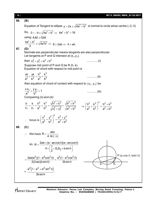| [16] | WT-5 (MAIN) RBPA_07.10.2017                                                                                                                                                                                                                                                                               |
|------|-----------------------------------------------------------------------------------------------------------------------------------------------------------------------------------------------------------------------------------------------------------------------------------------------------------|
| 86.  | (B)                                                                                                                                                                                                                                                                                                       |
|      | Equation of Tangent to ellipse $y = 2x \pm \sqrt{4a^2 + b^2}$ is normal to circle whoe centre (-2, 0)                                                                                                                                                                                                     |
|      | So, $0 = -4 \pm \sqrt{4a^2 + b^2} \Rightarrow 4a^2 + b^2 = 16$                                                                                                                                                                                                                                            |
|      | using $A.M. \ge G.M$                                                                                                                                                                                                                                                                                      |
|      | $\frac{4a^2 + b^2}{2} \ge \sqrt{4a^2b^2} \Rightarrow 8 \ge 2ab \Rightarrow 4 \ge ab$                                                                                                                                                                                                                      |
| 87.  | (D)                                                                                                                                                                                                                                                                                                       |
|      | Normals are perpendicular means tangents are also perpendicular.<br>Let tangents at P and Q intersect at $(x_1, y_1)$ .                                                                                                                                                                                   |
|      | then $x_1^2 + y_1^2 = a^2 + b^2$                                                                                                                                                                                                                                                                          |
|      | Suppose mid point of P and Q be R (h, k).                                                                                                                                                                                                                                                                 |
|      | Equation of chord with respect to mid point is                                                                                                                                                                                                                                                            |
|      | $\frac{kh}{a^2} + \frac{yk}{b^2} = \frac{h^2}{a^2} + \frac{k^2}{b^2}$<br>(ii)                                                                                                                                                                                                                             |
|      | Also equation of chord of contact with respect to $(x_1, y_1)$ be                                                                                                                                                                                                                                         |
|      | $\frac{XX_1}{a^2} + \frac{yy_1}{b^2} = 1$<br>(iii)                                                                                                                                                                                                                                                        |
|      | Compairing (ii) and (iii)                                                                                                                                                                                                                                                                                 |
|      | $\frac{h}{x_1} = \frac{k}{y_1} = \frac{h^2}{a^2} + \frac{k^2}{b^2} = \frac{\sqrt{h^2 + k^2}}{\sqrt{x_1^2 + y_2^2}} = \frac{\sqrt{h^2 + k^2}}{\sqrt{a^2 + b^2}} = \frac{\left(\frac{h^2}{a^2} + \frac{k^2}{b^2}\right)^2}{\left(\frac{h^2}{a^2} + \frac{k^2}{b^2}\right)^2} = \frac{h^2 + k^2}{a^2 + b^2}$ |
|      | $\therefore \text{ locus is } \left(\frac{x^2}{a^2} + \frac{y^2}{b^2}\right)^2 = \frac{x^2 + y^2}{a^2 + b^2}$                                                                                                                                                                                             |
| 88.  | (C)                                                                                                                                                                                                                                                                                                       |
|      | We have $R = \frac{abc}{4 Ar(\Lambda)}$                                                                                                                                                                                                                                                                   |
|      | so, R = $\frac{2ae \times (a - ae \cos \theta)(a + ae \cos \theta)}{4 \times (\frac{1}{2} \times S_1 S_2 \times b \sin \theta)}$                                                                                                                                                                          |
|      |                                                                                                                                                                                                                                                                                                           |
|      | P (a cos $\theta$ , bsin $\theta$ )<br>$=\frac{2ae(a^2)(1-e^2cos^2\theta)}{2(2ae)(b\sin\theta)}=\frac{a^2(1-e^2cos^2\theta)}{2b\sin\theta}$                                                                                                                                                               |
|      |                                                                                                                                                                                                                                                                                                           |
|      | $= \frac{a^2(1-e^2+e^2\sin^2\theta)}{2b\sin\theta}$                                                                                                                                                                                                                                                       |
|      |                                                                                                                                                                                                                                                                                                           |
|      |                                                                                                                                                                                                                                                                                                           |

Mentors<sup>®</sup> Eduserv<sup>®</sup>

**Mentors Eduserv: Parus Lok Complex, Boring Road Crossing, Patna-1 Helpline No. : 9569668800 | 7544015993/4/6/7**